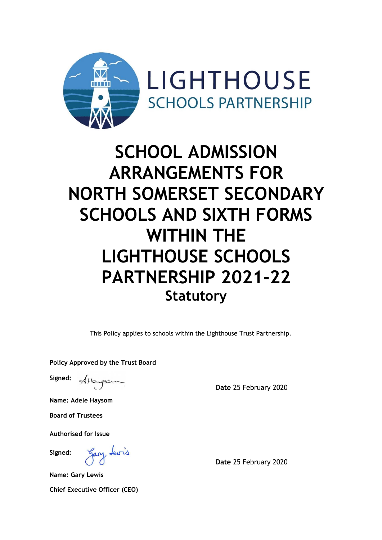

# **SCHOOL ADMISSION ARRANGEMENTS FOR NORTH SOMERSET SECONDARY SCHOOLS AND SIXTH FORMS WITHIN THE LIGHTHOUSE SCHOOLS PARTNERSHIP 2021-22 Statutory**

This Policy applies to schools within the Lighthouse Trust Partnership.

**Policy Approved by the Trust Board**

**Signed:** Attacpom

**Date** 25 February 2020

**Name: Adele Haysom**

**Board of Trustees**

**Authorised for Issue**

**Signed:**

gary tewis

**Date** 25 February 2020

**Name: Gary Lewis Chief Executive Officer (CEO)**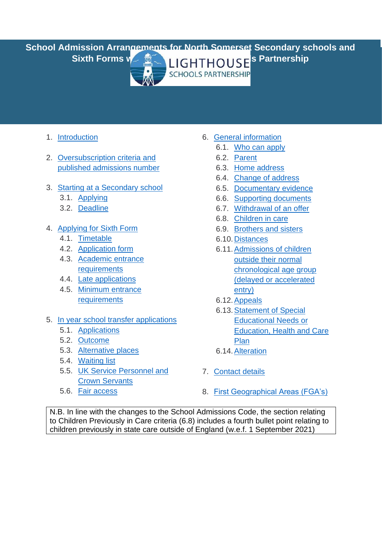**School Admission Arrangements for North Somerset Secondary schools and**  Sixth Forms water **Research LIGHTHOUSE**'s Partnership



- 1. [Introduction](#page-2-0)
- 2. [Oversubscription criteria and](#page-2-1)  [published admissions number](#page-2-1)
- 3. [Starting at a Secondary](#page-4-0) school
	- 3.1. [Applying](#page-4-1)
	- 3.2. [Deadline](#page-5-0)
- 4. [Applying for Sixth Form](#page-5-1)
	- 4.1. [Timetable](#page-5-2)
	- 4.2. [Application form](#page-6-0)
	- 4.3. [Academic entrance](#page-6-1)  [requirements](#page-6-1)
	- 4.4. [Late applications](#page-8-0)
	- 4.5. [Minimum entrance](#page-8-1)  [requirements](#page-8-1)
- 5. [In year school transfer applications](#page-5-3)
	- 5.1. [Applications](#page-9-0)
	- 5.2. [Outcome](#page-9-1)
	- 5.3. [Alternative places](#page-9-2)
	- 5.4. [Waiting list](#page-9-3)
	- 5.5. [UK Service Personnel and](#page-10-0)  [Crown Servants](#page-10-0)
	- 5.6. [Fair access](#page-10-1)
- 6. [General information](#page-10-2)
	- 6.1. [Who can apply](#page-10-2)
	- 6.2. [Parent](#page-10-3)
	- 6.3. [Home address](#page-11-0)
	- 6.4. [Change of address](#page-11-1)
	- 6.5. [Documentary evidence](#page-12-0)
	- 6.6. [Supporting documents](#page-13-0)
	- 6.7. [Withdrawal of an](#page-13-1) offer
	- 6.8. [Children in care](#page-13-2)
	- 6.9. [Brothers and sisters](#page-14-0)
	- 6.10[.Distances](#page-14-1)
	- 6.11[.Admissions of children](#page-15-0)  [outside their normal](#page-15-0)  [chronological age group](#page-15-0)  [\(delayed or accelerated](#page-15-0)  [entry\)](#page-15-0)
	- 6.12.Appeals
	- 6.13[.Statement of Special](#page-16-0)  [Educational Needs or](#page-16-0)  [Education, Health and Care](#page-16-0)  [Plan](#page-16-0)
	- 6.14. Alteration
- 7. [Contact details](#page-16-2)
- 8. [First Geographical Areas \(FGA's\)](#page-17-0)

N.B. In line with the changes to the School Admissions Code, the section relating to Children Previously in Care criteria (6.8) includes a fourth bullet point relating to children previously in state care outside of England (w.e.f. 1 September 2021)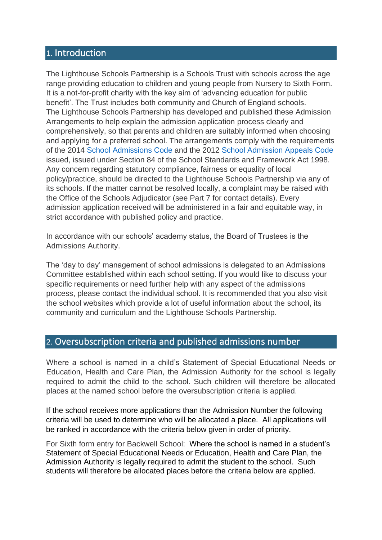#### <span id="page-2-0"></span>1. Introduction

The Lighthouse Schools Partnership is a Schools Trust with schools across the age range providing education to children and young people from Nursery to Sixth Form. It is a not-for-profit charity with the key aim of 'advancing education for public benefit'. The Trust includes both community and Church of England schools. The Lighthouse Schools Partnership has developed and published these Admission Arrangements to help explain the admission application process clearly and comprehensively, so that parents and children are suitably informed when choosing and applying for a preferred school. The arrangements comply with the requirements of the 2014 [School Admissions Code](https://assets.publishing.service.gov.uk/government/uploads/system/uploads/attachment_data/file/389388/School_Admissions_Code_2014_-_19_Dec.pdf) and the 2012 [School Admission Appeals Code](https://assets.publishing.service.gov.uk/government/uploads/system/uploads/attachment_data/file/275897/school_admission_appeals_code_1_february_2012.pdf) issued, issued under Section 84 of the School Standards and Framework Act 1998. Any concern regarding statutory compliance, fairness or equality of local policy/practice, should be directed to the Lighthouse Schools Partnership via any of its schools. If the matter cannot be resolved locally, a complaint may be raised with the Office of the Schools Adjudicator (see Part 7 for contact details). Every admission application received will be administered in a fair and equitable way, in strict accordance with published policy and practice.

In accordance with our schools' academy status, the Board of Trustees is the Admissions Authority.

The 'day to day' management of school admissions is delegated to an Admissions Committee established within each school setting. If you would like to discuss your specific requirements or need further help with any aspect of the admissions process, please contact the individual school. It is recommended that you also visit the school websites which provide a lot of useful information about the school, its community and curriculum and the Lighthouse Schools Partnership.

## <span id="page-2-1"></span>2. Oversubscription criteria and published admissions number

Where a school is named in a child's Statement of Special Educational Needs or Education, Health and Care Plan, the Admission Authority for the school is legally required to admit the child to the school. Such children will therefore be allocated places at the named school before the oversubscription criteria is applied.

If the school receives more applications than the Admission Number the following criteria will be used to determine who will be allocated a place. All applications will be ranked in accordance with the criteria below given in order of priority.

For Sixth form entry for Backwell School: Where the school is named in a student's Statement of Special Educational Needs or Education, Health and Care Plan, the Admission Authority is legally required to admit the student to the school. Such students will therefore be allocated places before the criteria below are applied.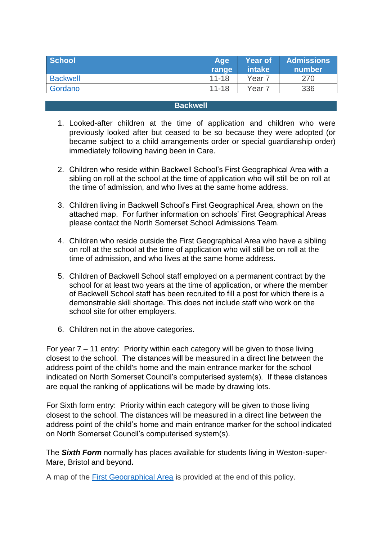<span id="page-3-1"></span>

| <b>School</b>   | Age <sup>®</sup><br>range | <b>Year of</b><br>intake | <b>Admissions</b><br>number |
|-----------------|---------------------------|--------------------------|-----------------------------|
| <b>Backwell</b> | $11 - 18$                 | Year 7                   | 270                         |
| Gordano         | $11 - 18$                 | Year 7                   | 336                         |

#### **Backwell**

- <span id="page-3-0"></span>1. Looked-after children at the time of application and children who were previously looked after but ceased to be so because they were adopted (or became subject to a child arrangements order or special guardianship order) immediately following having been in Care.
- 2. Children who reside within Backwell School's First Geographical Area with a sibling on roll at the school at the time of application who will still be on roll at the time of admission, and who lives at the same home address.
- 3. Children living in Backwell School's First Geographical Area, shown on the attached map. For further information on schools' First Geographical Areas please contact the North Somerset School Admissions Team.
- 4. Children who reside outside the First Geographical Area who have a sibling on roll at the school at the time of application who will still be on roll at the time of admission, and who lives at the same home address.
- 5. Children of Backwell School staff employed on a permanent contract by the school for at least two years at the time of application, or where the member of Backwell School staff has been recruited to fill a post for which there is a demonstrable skill shortage. This does not include staff who work on the school site for other employers.
- 6. Children not in the above categories.

For year 7 – 11 entry: Priority within each category will be given to those living closest to the school. The distances will be measured in a direct line between the address point of the child's home and the main entrance marker for the school indicated on North Somerset Council's computerised system(s). If these distances are equal the ranking of applications will be made by drawing lots.

For Sixth form entry: Priority within each category will be given to those living closest to the school. The distances will be measured in a direct line between the address point of the child's home and main entrance marker for the school indicated on North Somerset Council's computerised system(s).

The *Sixth Form* normally has places available for students living in Weston-super-Mare, Bristol and beyond*.* 

A map of the [First Geographical Area](#page-17-0) is provided at the end of this policy.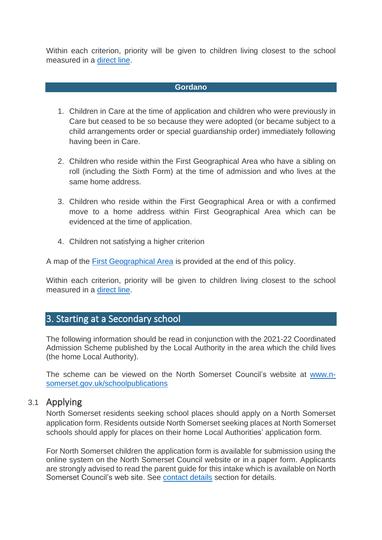<span id="page-4-2"></span>Within each criterion, priority will be given to children living closest to the school measured in a [direct line.](#page-14-1)

#### **Gordano**

- 1. Children in Care at the time of application and children who were previously in Care but ceased to be so because they were adopted (or became subject to a child arrangements order or special guardianship order) immediately following having been in Care.
- 2. Children who reside within the First Geographical Area who have a sibling on roll (including the Sixth Form) at the time of admission and who lives at the same home address.
- 3. Children who reside within the First Geographical Area or with a confirmed move to a home address within First Geographical Area which can be evidenced at the time of application.
- 4. Children not satisfying a higher criterion

A map of the [First Geographical Area](#page-17-0) is provided at the end of this policy.

Within each criterion, priority will be given to children living closest to the school measured in a [direct line.](#page-14-1)

#### <span id="page-4-0"></span>3. Starting at a Secondary school

The following information should be read in conjunction with the 2021-22 Coordinated Admission Scheme published by the Local Authority in the area which the child lives (the home Local Authority).

The scheme can be viewed on the North Somerset Council's website at [www.n](http://www.n-somerset.gov.uk/schoolpublications)[somerset.gov.uk/schoolpublications](http://www.n-somerset.gov.uk/schoolpublications)

#### <span id="page-4-1"></span>3.1 Applying

North Somerset residents seeking school places should apply on a North Somerset application form. Residents outside North Somerset seeking places at North Somerset schools should apply for places on their home Local Authorities' application form.

For North Somerset children the application form is available for submission using the online system on the North Somerset Council website or in a paper form. Applicants are strongly advised to read the parent guide for this intake which is available on North Somerset Council's web site. See [contact details](#page-16-2) section for details.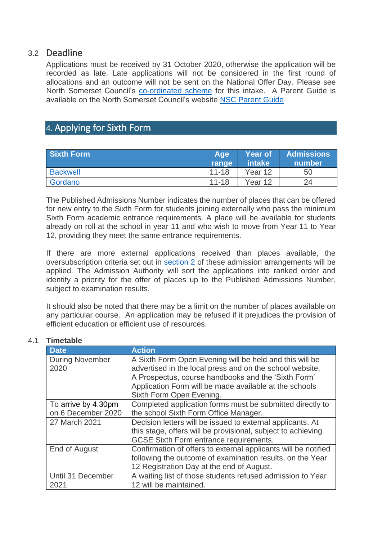## <span id="page-5-0"></span>3.2 Deadline

<span id="page-5-1"></span>Applications must be received by 31 October 2020, otherwise the application will be recorded as late. Late applications will not be considered in the first round of allocations and an outcome will not be sent on the National Offer Day. Please see North Somerset Council's [co-ordinated scheme](http://www.n-somerset.gov.uk/my-services/schools-learning/admissions/arrangements-policies-consultations/schoolpublications/) for this intake. A Parent Guide is available on the North Somerset Council's website [NSC Parent Guide](https://www.n-somerset.gov.uk/my-services/schools-learning/admissions/reception-junior-and-secondary-transfer/secondary/)

# <span id="page-5-3"></span>4. Applying for Sixth Form

| Sixth Form      | Aqe <sup>®</sup> | <b>Year of</b> | <b>Admissions</b>   |
|-----------------|------------------|----------------|---------------------|
|                 | <b>range</b>     | ∣intake\       | number <sup>1</sup> |
| <b>Backwell</b> | $11 - 18$        | Year 12        | 50                  |
| Gordano         | $11 - 18$        | Year 12        | 24                  |

The Published Admissions Number indicates the number of places that can be offered for new entry to the Sixth Form for students joining externally who pass the minimum Sixth Form academic entrance requirements. A place will be available for students already on roll at the school in year 11 and who wish to move from Year 11 to Year 12, providing they meet the same entrance requirements.

If there are more external applications received than places available, the oversubscription criteria set out in [section 2](#page-3-1) of these admission arrangements will be applied. The Admission Authority will sort the applications into ranked order and identify a priority for the offer of places up to the Published Admissions Number, subject to examination results.

It should also be noted that there may be a limit on the number of places available on any particular course. An application may be refused if it prejudices the provision of efficient education or efficient use of resources.

#### <span id="page-5-2"></span>4.1 **Timetable**

| <b>Date</b>            | <b>Action</b>                                                  |
|------------------------|----------------------------------------------------------------|
| <b>During November</b> | A Sixth Form Open Evening will be held and this will be        |
| 2020                   | advertised in the local press and on the school website.       |
|                        | A Prospectus, course handbooks and the 'Sixth Form'            |
|                        | Application Form will be made available at the schools         |
|                        | Sixth Form Open Evening.                                       |
| To arrive by 4.30pm    | Completed application forms must be submitted directly to      |
| on 6 December 2020     | the school Sixth Form Office Manager.                          |
| 27 March 2021          | Decision letters will be issued to external applicants. At     |
|                        | this stage, offers will be provisional, subject to achieving   |
|                        | <b>GCSE Sixth Form entrance requirements.</b>                  |
| End of August          | Confirmation of offers to external applicants will be notified |
|                        | following the outcome of examination results, on the Year      |
|                        | 12 Registration Day at the end of August.                      |
| Until 31 December      | A waiting list of those students refused admission to Year     |
| 2021                   | 12 will be maintained.                                         |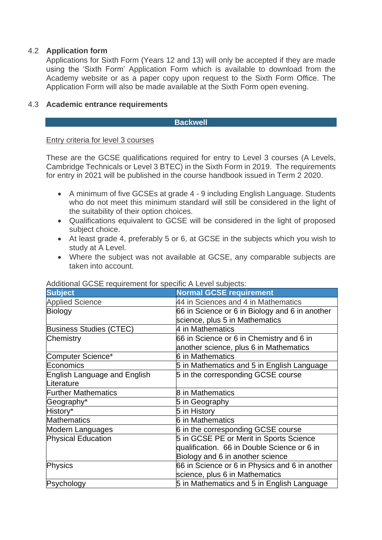#### <span id="page-6-0"></span>4.2 **Application form**

Applications for Sixth Form (Years 12 and 13) will only be accepted if they are made using the 'Sixth Form' Application Form which is available to download from the Academy website or as a paper copy upon request to the Sixth Form Office. The Application Form will also be made available at the Sixth Form open evening.

#### 4.3 **Academic entrance requirements**

#### <span id="page-6-1"></span>**Backwell**

#### Entry criteria for level 3 courses

These are the GCSE qualifications required for entry to Level 3 courses (A Levels, Cambridge Technicals or Level 3 BTEC) in the Sixth Form in 2019. The requirements for entry in 2021 will be published in the course handbook issued in Term 2 2020.

- A minimum of five GCSEs at grade 4 9 including English Language. Students who do not meet this minimum standard will still be considered in the light of the suitability of their option choices.
- Qualifications equivalent to GCSE will be considered in the light of proposed subject choice.
- At least grade 4, preferably 5 or 6, at GCSE in the subjects which you wish to study at A Level.
- Where the subject was not available at GCSE, any comparable subjects are taken into account.

| <b>Subject</b>                 | <b>Normal GCSE requirement</b>                 |
|--------------------------------|------------------------------------------------|
| <b>Applied Science</b>         | 44 in Sciences and 4 in Mathematics            |
| Biology                        | 66 in Science or 6 in Biology and 6 in another |
|                                | science, plus 5 in Mathematics                 |
| <b>Business Studies (CTEC)</b> | 4 in Mathematics                               |
| Chemistry                      | 66 in Science or 6 in Chemistry and 6 in       |
|                                | another science, plus 6 in Mathematics         |
| Computer Science*              | 6 in Mathematics                               |
| Economics                      | 5 in Mathematics and 5 in English Language     |
| English Language and English   | 5 in the corresponding GCSE course             |
| Literature                     |                                                |
| <b>Further Mathematics</b>     | 8 in Mathematics                               |
| Geography*                     | 5 in Geography                                 |
| History*                       | 5 in History                                   |
| <b>Mathematics</b>             | 6 in Mathematics                               |
| Modern Languages               | 6 in the corresponding GCSE course             |
| <b>Physical Education</b>      | 5 in GCSE PE or Merit in Sports Science        |
|                                | qualification. 66 in Double Science or 6 in    |
|                                | Biology and 6 in another science               |
| Physics                        | 66 in Science or 6 in Physics and 6 in another |
|                                | science, plus 6 in Mathematics                 |
| Psychology                     | 5 in Mathematics and 5 in English Language     |

#### Additional GCSE requirement for specific A Level subjects: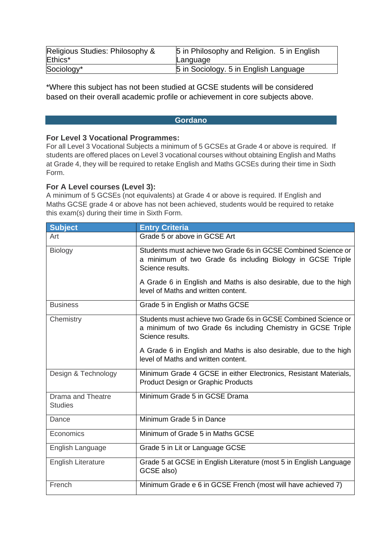| Religious Studies: Philosophy & | 5 in Philosophy and Religion. 5 in English |
|---------------------------------|--------------------------------------------|
| Ethics*                         | Language                                   |
| Sociology*                      | 5 in Sociology. 5 in English Language      |

\*Where this subject has not been studied at GCSE students will be considered based on their overall academic profile or achievement in core subjects above.

#### **Gordano**

#### **For Level 3 Vocational Programmes:**

For all Level 3 Vocational Subjects a minimum of 5 GCSEs at Grade 4 or above is required. If students are offered places on Level 3 vocational courses without obtaining English and Maths at Grade 4, they will be required to retake English and Maths GCSEs during their time in Sixth Form.

#### **For A Level courses (Level 3):**

A minimum of 5 GCSEs (not equivalents) at Grade 4 or above is required. If English and Maths GCSE grade 4 or above has not been achieved, students would be required to retake this exam(s) during their time in Sixth Form.

| <b>Subject</b>                             | <b>Entry Criteria</b>                                                                                                                                                                                                 |
|--------------------------------------------|-----------------------------------------------------------------------------------------------------------------------------------------------------------------------------------------------------------------------|
| Art                                        | Grade 5 or above in GCSE Art                                                                                                                                                                                          |
| <b>Biology</b>                             | Students must achieve two Grade 6s in GCSE Combined Science or<br>a minimum of two Grade 6s including Biology in GCSE Triple<br>Science results.<br>A Grade 6 in English and Maths is also desirable, due to the high |
|                                            | level of Maths and written content.                                                                                                                                                                                   |
| <b>Business</b>                            | Grade 5 in English or Maths GCSE                                                                                                                                                                                      |
| Chemistry                                  | Students must achieve two Grade 6s in GCSE Combined Science or<br>a minimum of two Grade 6s including Chemistry in GCSE Triple<br>Science results.                                                                    |
|                                            | A Grade 6 in English and Maths is also desirable, due to the high<br>level of Maths and written content.                                                                                                              |
| Design & Technology                        | Minimum Grade 4 GCSE in either Electronics, Resistant Materials,<br><b>Product Design or Graphic Products</b>                                                                                                         |
| <b>Drama and Theatre</b><br><b>Studies</b> | Minimum Grade 5 in GCSE Drama                                                                                                                                                                                         |
| Dance                                      | Minimum Grade 5 in Dance                                                                                                                                                                                              |
| Economics                                  | Minimum of Grade 5 in Maths GCSE                                                                                                                                                                                      |
| English Language                           | Grade 5 in Lit or Language GCSE                                                                                                                                                                                       |
| <b>English Literature</b>                  | Grade 5 at GCSE in English Literature (most 5 in English Language<br>GCSE also)                                                                                                                                       |
| French                                     | Minimum Grade e 6 in GCSE French (most will have achieved 7)                                                                                                                                                          |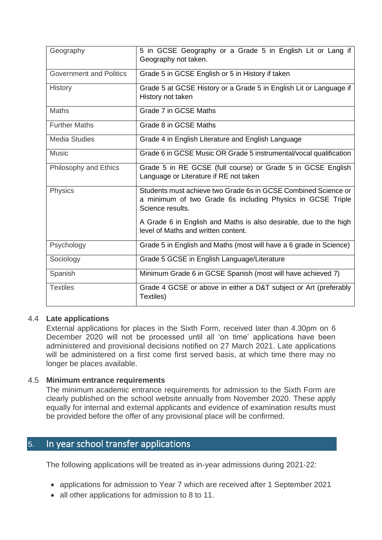| Geography                      | 5 in GCSE Geography or a Grade 5 in English Lit or Lang if<br>Geography not taken.                                                               |
|--------------------------------|--------------------------------------------------------------------------------------------------------------------------------------------------|
| <b>Government and Politics</b> | Grade 5 in GCSE English or 5 in History if taken                                                                                                 |
| <b>History</b>                 | Grade 5 at GCSE History or a Grade 5 in English Lit or Language if<br>History not taken                                                          |
| <b>Maths</b>                   | Grade 7 in GCSE Maths                                                                                                                            |
| <b>Further Maths</b>           | Grade 8 in GCSE Maths                                                                                                                            |
| <b>Media Studies</b>           | Grade 4 in English Literature and English Language                                                                                               |
| <b>Music</b>                   | Grade 6 in GCSE Music OR Grade 5 instrumental/vocal qualification                                                                                |
| Philosophy and Ethics          | Grade 5 in RE GCSE (full course) or Grade 5 in GCSE English<br>Language or Literature if RE not taken                                            |
| <b>Physics</b>                 | Students must achieve two Grade 6s in GCSE Combined Science or<br>a minimum of two Grade 6s including Physics in GCSE Triple<br>Science results. |
|                                | A Grade 6 in English and Maths is also desirable, due to the high<br>level of Maths and written content.                                         |
| Psychology                     | Grade 5 in English and Maths (most will have a 6 grade in Science)                                                                               |
| Sociology                      | Grade 5 GCSE in English Language/Literature                                                                                                      |
| Spanish                        | Minimum Grade 6 in GCSE Spanish (most will have achieved 7)                                                                                      |
| <b>Textiles</b>                | Grade 4 GCSE or above in either a D&T subject or Art (preferably<br>Textiles)                                                                    |

#### <span id="page-8-0"></span>4.4 **Late applications**

External applications for places in the Sixth Form, received later than 4.30pm on 6 December 2020 will not be processed until all 'on time' applications have been administered and provisional decisions notified on 27 March 2021. Late applications will be administered on a first come first served basis, at which time there may no longer be places available.

#### <span id="page-8-1"></span>4.5 **Minimum entrance requirements**

The minimum academic entrance requirements for admission to the Sixth Form are clearly published on the school website annually from November 2020. These apply equally for internal and external applicants and evidence of examination results must be provided before the offer of any provisional place will be confirmed.

## 5. In year school transfer applications

The following applications will be treated as in-year admissions during 2021-22:

- applications for admission to Year 7 which are received after 1 September 2021
- all other applications for admission to 8 to 11.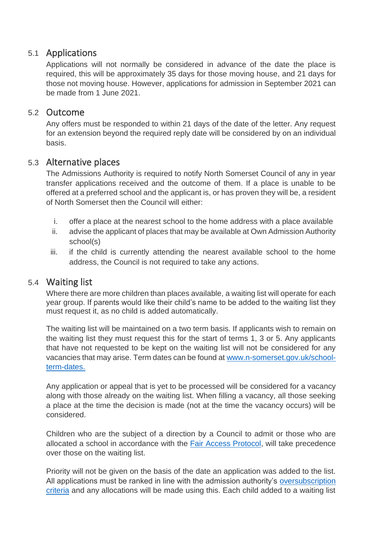## <span id="page-9-0"></span>5.1 Applications

Applications will not normally be considered in advance of the date the place is required, this will be approximately 35 days for those moving house, and 21 days for those not moving house. However, applications for admission in September 2021 can be made from 1 June 2021.

## <span id="page-9-1"></span>5.2 Outcome

Any offers must be responded to within 21 days of the date of the letter. Any request for an extension beyond the required reply date will be considered by on an individual basis.

## <span id="page-9-2"></span>5.3 Alternative places

The Admissions Authority is required to notify North Somerset Council of any in year transfer applications received and the outcome of them. If a place is unable to be offered at a preferred school and the applicant is, or has proven they will be, a resident of North Somerset then the Council will either:

- i. offer a place at the nearest school to the home address with a place available
- ii. advise the applicant of places that may be available at Own Admission Authority school(s)
- iii. if the child is currently attending the nearest available school to the home address, the Council is not required to take any actions.

## <span id="page-9-3"></span>5.4 Waiting list

Where there are more children than places available, a waiting list will operate for each year group. If parents would like their child's name to be added to the waiting list they must request it, as no child is added automatically.

The waiting list will be maintained on a two term basis. If applicants wish to remain on the waiting list they must request this for the start of terms 1, 3 or 5. Any applicants that have not requested to be kept on the waiting list will not be considered for any vacancies that may arise. Term dates can be found at [www.n-somerset.gov.uk/school](http://www.n-somerset.gov.uk/school-term-dates)[term-dates.](http://www.n-somerset.gov.uk/school-term-dates)

Any application or appeal that is yet to be processed will be considered for a vacancy along with those already on the waiting list. When filling a vacancy, all those seeking a place at the time the decision is made (not at the time the vacancy occurs) will be considered.

Children who are the subject of a direction by a Council to admit or those who are allocated a school in accordance with the **Fair Access Protocol**, will take precedence over those on the waiting list.

Priority will not be given on the basis of the date an application was added to the list. All applications must be ranked in line with the admission authority's [oversubscription](http://www.n-somerset.gov.uk/my-services/schools-learning/admissions/arrangements-policies-consultations/schoolpublications/)  [criteria](http://www.n-somerset.gov.uk/my-services/schools-learning/admissions/arrangements-policies-consultations/schoolpublications/) and any allocations will be made using this. Each child added to a waiting list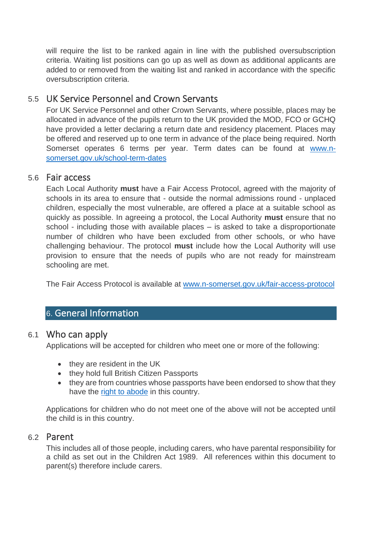will require the list to be ranked again in line with the published oversubscription criteria. Waiting list positions can go up as well as down as additional applicants are added to or removed from the waiting list and ranked in accordance with the specific oversubscription criteria.

# <span id="page-10-0"></span>5.5 UK Service Personnel and Crown Servants

For UK Service Personnel and other Crown Servants, where possible, places may be allocated in advance of the pupils return to the UK provided the MOD, FCO or GCHQ have provided a letter declaring a return date and residency placement. Places may be offered and reserved up to one term in advance of the place being required. North Somerset operates 6 terms per year. Term dates can be found at [www.n](http://www.n-somerset.gov.uk/school-term-dates)[somerset.gov.uk/school-term-dates](http://www.n-somerset.gov.uk/school-term-dates)

#### <span id="page-10-1"></span>5.6 Fair access

Each Local Authority **must** have a Fair Access Protocol, agreed with the majority of schools in its area to ensure that - outside the normal admissions round - unplaced children, especially the most vulnerable, are offered a place at a suitable school as quickly as possible. In agreeing a protocol, the Local Authority **must** ensure that no school - including those with available places – is asked to take a disproportionate number of children who have been excluded from other schools, or who have challenging behaviour. The protocol **must** include how the Local Authority will use provision to ensure that the needs of pupils who are not ready for mainstream schooling are met.

The Fair Access Protocol is available at [www.n-somerset.gov.uk/fair-access-protocol](http://www.n-somerset.gov.uk/fair-access-protocol)

# 6. General Information

## <span id="page-10-2"></span>6.1 Who can apply

Applications will be accepted for children who meet one or more of the following:

- they are resident in the UK
- they hold full British Citizen Passports
- they are from countries whose passports have been endorsed to show that they have the [right to abode](https://www.gov.uk/right-of-abode) in this country.

Applications for children who do not meet one of the above will not be accepted until the child is in this country.

#### <span id="page-10-3"></span>6.2 Parent

This includes all of those people, including carers, who have parental responsibility for a child as set out in the Children Act 1989. All references within this document to parent(s) therefore include carers.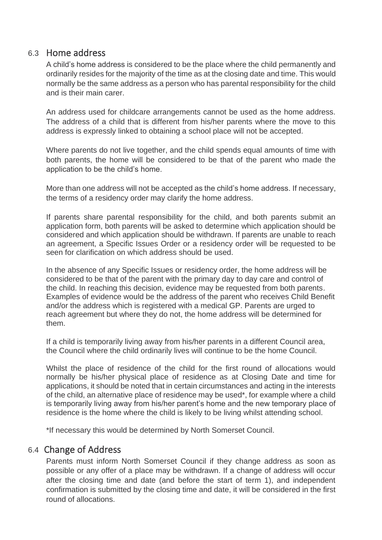## <span id="page-11-0"></span>6.3 Home address

A child's home address is considered to be the place where the child permanently and ordinarily resides for the majority of the time as at the closing date and time. This would normally be the same address as a person who has parental responsibility for the child and is their main carer.

An address used for childcare arrangements cannot be used as the home address. The address of a child that is different from his/her parents where the move to this address is expressly linked to obtaining a school place will not be accepted.

Where parents do not live together, and the child spends equal amounts of time with both parents, the home will be considered to be that of the parent who made the application to be the child's home.

More than one address will not be accepted as the child's home address. If necessary, the terms of a residency order may clarify the home address.

If parents share parental responsibility for the child, and both parents submit an application form, both parents will be asked to determine which application should be considered and which application should be withdrawn. If parents are unable to reach an agreement, a Specific Issues Order or a residency order will be requested to be seen for clarification on which address should be used.

In the absence of any Specific Issues or residency order, the home address will be considered to be that of the parent with the primary day to day care and control of the child. In reaching this decision, evidence may be requested from both parents. Examples of evidence would be the address of the parent who receives Child Benefit and/or the address which is registered with a medical GP. Parents are urged to reach agreement but where they do not, the home address will be determined for them.

If a child is temporarily living away from his/her parents in a different Council area, the Council where the child ordinarily lives will continue to be the home Council.

Whilst the place of residence of the child for the first round of allocations would normally be his/her physical place of residence as at Closing Date and time for applications, it should be noted that in certain circumstances and acting in the interests of the child, an alternative place of residence may be used\*, for example where a child is temporarily living away from his/her parent's home and the new temporary place of residence is the home where the child is likely to be living whilst attending school.

\*If necessary this would be determined by North Somerset Council.

## <span id="page-11-1"></span>6.4 Change of Address

Parents must inform North Somerset Council if they change address as soon as possible or any offer of a place may be withdrawn. If a change of address will occur after the closing time and date (and before the start of term 1), and independent confirmation is submitted by the closing time and date, it will be considered in the first round of allocations.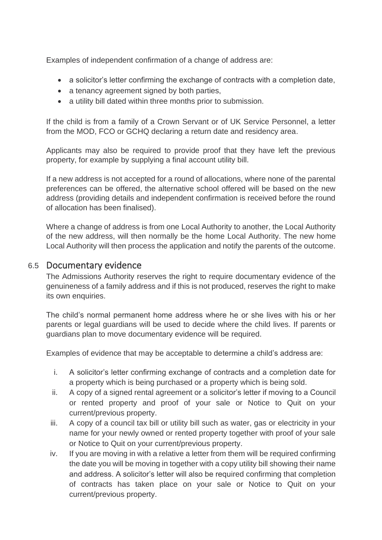Examples of independent confirmation of a change of address are:

- a solicitor's letter confirming the exchange of contracts with a completion date,
- a tenancy agreement signed by both parties,
- a utility bill dated within three months prior to submission.

If the child is from a family of a Crown Servant or of UK Service Personnel, a letter from the MOD, FCO or GCHQ declaring a return date and residency area.

Applicants may also be required to provide proof that they have left the previous property, for example by supplying a final account utility bill.

If a new address is not accepted for a round of allocations, where none of the parental preferences can be offered, the alternative school offered will be based on the new address (providing details and independent confirmation is received before the round of allocation has been finalised).

Where a change of address is from one Local Authority to another, the Local Authority of the new address, will then normally be the home Local Authority. The new home Local Authority will then process the application and notify the parents of the outcome.

## <span id="page-12-0"></span>6.5 Documentary evidence

The Admissions Authority reserves the right to require documentary evidence of the genuineness of a family address and if this is not produced, reserves the right to make its own enquiries.

The child's normal permanent home address where he or she lives with his or her parents or legal guardians will be used to decide where the child lives. If parents or guardians plan to move documentary evidence will be required.

Examples of evidence that may be acceptable to determine a child's address are:

- i. A solicitor's letter confirming exchange of contracts and a completion date for a property which is being purchased or a property which is being sold.
- ii. A copy of a signed rental agreement or a solicitor's letter if moving to a Council or rented property and proof of your sale or Notice to Quit on your current/previous property.
- iii. A copy of a council tax bill or utility bill such as water, gas or electricity in your name for your newly owned or rented property together with proof of your sale or Notice to Quit on your current/previous property.
- iv. If you are moving in with a relative a letter from them will be required confirming the date you will be moving in together with a copy utility bill showing their name and address. A solicitor's letter will also be required confirming that completion of contracts has taken place on your sale or Notice to Quit on your current/previous property.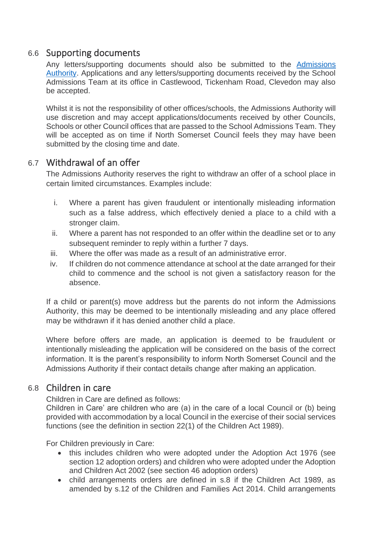## <span id="page-13-0"></span>6.6 Supporting documents

Any letters/supporting documents should also be submitted to the [Admissions](#page-16-2)  [Authority.](#page-16-2) Applications and any letters/supporting documents received by the School Admissions Team at its office in Castlewood, Tickenham Road, Clevedon may also be accepted.

Whilst it is not the responsibility of other offices/schools, the Admissions Authority will use discretion and may accept applications/documents received by other Councils, Schools or other Council offices that are passed to the School Admissions Team. They will be accepted as on time if North Somerset Council feels they may have been submitted by the closing time and date.

## <span id="page-13-1"></span>6.7 Withdrawal of an offer

The Admissions Authority reserves the right to withdraw an offer of a school place in certain limited circumstances. Examples include:

- i. Where a parent has given fraudulent or intentionally misleading information such as a false address, which effectively denied a place to a child with a stronger claim.
- ii. Where a parent has not responded to an offer within the deadline set or to any subsequent reminder to reply within a further 7 days.
- iii. Where the offer was made as a result of an administrative error.
- iv. If children do not commence attendance at school at the date arranged for their child to commence and the school is not given a satisfactory reason for the absence.

If a child or parent(s) move address but the parents do not inform the Admissions Authority, this may be deemed to be intentionally misleading and any place offered may be withdrawn if it has denied another child a place.

Where before offers are made, an application is deemed to be fraudulent or intentionally misleading the application will be considered on the basis of the correct information. It is the parent's responsibility to inform North Somerset Council and the Admissions Authority if their contact details change after making an application.

## <span id="page-13-2"></span>6.8 Children in care

Children in Care are defined as follows:

Children in Care' are children who are (a) in the care of a local Council or (b) being provided with accommodation by a local Council in the exercise of their social services functions (see the definition in section 22(1) of the Children Act 1989).

For Children previously in Care:

- this includes children who were adopted under the Adoption Act 1976 (see section 12 adoption orders) and children who were adopted under the Adoption and Children Act 2002 (see section 46 adoption orders)
- child arrangements orders are defined in s.8 if the Children Act 1989, as amended by s.12 of the Children and Families Act 2014. Child arrangements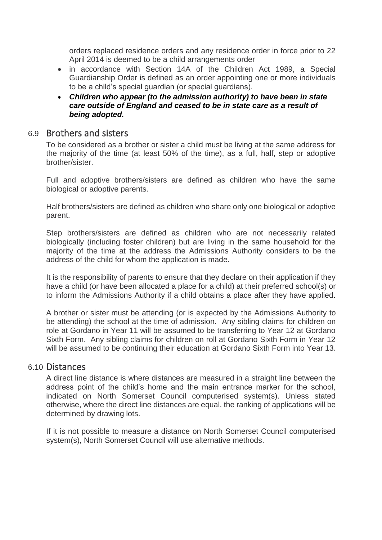orders replaced residence orders and any residence order in force prior to 22 April 2014 is deemed to be a child arrangements order

- in accordance with Section 14A of the Children Act 1989, a Special Guardianship Order is defined as an order appointing one or more individuals to be a child's special guardian (or special guardians).
- *Children who appear (to the admission authority) to have been in state care outside of England and ceased to be in state care as a result of being adopted.*

#### <span id="page-14-0"></span>6.9 Brothers and sisters

To be considered as a brother or sister a child must be living at the same address for the majority of the time (at least 50% of the time), as a full, half, step or adoptive brother/sister.

Full and adoptive brothers/sisters are defined as children who have the same biological or adoptive parents.

Half brothers/sisters are defined as children who share only one biological or adoptive parent.

Step brothers/sisters are defined as children who are not necessarily related biologically (including foster children) but are living in the same household for the majority of the time at the address the Admissions Authority considers to be the address of the child for whom the application is made.

It is the responsibility of parents to ensure that they declare on their application if they have a child (or have been allocated a place for a child) at their preferred school(s) or to inform the Admissions Authority if a child obtains a place after they have applied.

A brother or sister must be attending (or is expected by the Admissions Authority to be attending) the school at the time of admission. Any sibling claims for children on role at Gordano in Year 11 will be assumed to be transferring to Year 12 at Gordano Sixth Form. Any sibling claims for children on roll at Gordano Sixth Form in Year 12 will be assumed to be continuing their education at Gordano Sixth Form into Year 13.

#### <span id="page-14-1"></span>6.10 Distances

A direct line distance is where distances are measured in a straight line between the address point of the child's home and the main entrance marker for the school, indicated on North Somerset Council computerised system(s). Unless stated otherwise, where the direct line distances are equal, the ranking of applications will be determined by drawing lots.

If it is not possible to measure a distance on North Somerset Council computerised system(s), North Somerset Council will use alternative methods.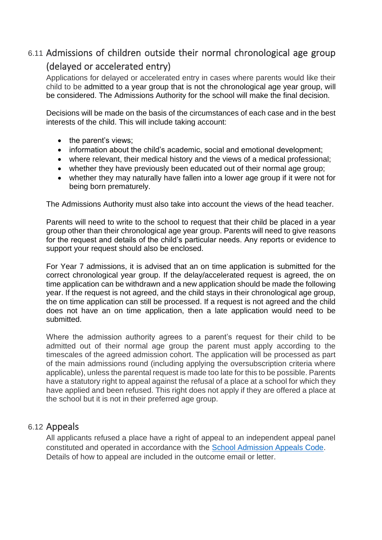# <span id="page-15-0"></span>6.11 Admissions of children outside their normal chronological age group (delayed or accelerated entry)

Applications for delayed or accelerated entry in cases where parents would like their child to be admitted to a year group that is not the chronological age year group, will be considered. The Admissions Authority for the school will make the final decision.

Decisions will be made on the basis of the circumstances of each case and in the best interests of the child. This will include taking account:

- the parent's views:
- information about the child's academic, social and emotional development;
- where relevant, their medical history and the views of a medical professional;
- whether they have previously been educated out of their normal age group;
- whether they may naturally have fallen into a lower age group if it were not for being born prematurely.

The Admissions Authority must also take into account the views of the head teacher.

Parents will need to write to the school to request that their child be placed in a year group other than their chronological age year group. Parents will need to give reasons for the request and details of the child's particular needs. Any reports or evidence to support your request should also be enclosed.

For Year 7 admissions, it is advised that an on time application is submitted for the correct chronological year group. If the delay/accelerated request is agreed, the on time application can be withdrawn and a new application should be made the following year. If the request is not agreed, and the child stays in their chronological age group, the on time application can still be processed. If a request is not agreed and the child does not have an on time application, then a late application would need to be submitted.

Where the admission authority agrees to a parent's request for their child to be admitted out of their normal age group the parent must apply according to the timescales of the agreed admission cohort. The application will be processed as part of the main admissions round (including applying the oversubscription criteria where applicable), unless the parental request is made too late for this to be possible. Parents have a statutory right to appeal against the refusal of a place at a school for which they have applied and been refused. This right does not apply if they are offered a place at the school but it is not in their preferred age group.

## 6.12 Appeals

All applicants refused a place have a right of appeal to an independent appeal panel constituted and operated in accordance with the [School Admission Appeals Code.](https://assets.publishing.service.gov.uk/government/uploads/system/uploads/attachment_data/file/275897/school_admission_appeals_code_1_february_2012.pdf) Details of how to appeal are included in the outcome email or letter.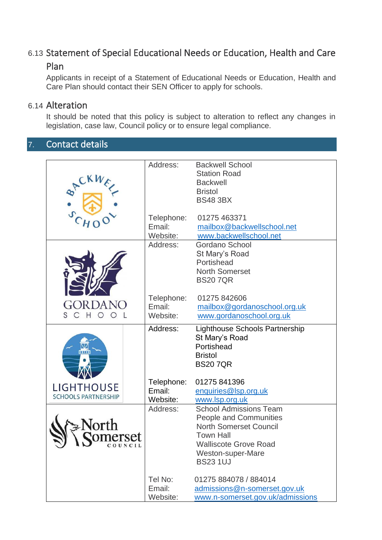# <span id="page-16-0"></span>6.13 Statement of Special Educational Needs or Education, Health and Care

# Plan

<span id="page-16-1"></span>Applicants in receipt of a Statement of Educational Needs or Education, Health and Care Plan should contact their SEN Officer to apply for schools.

# 6.14 Alteration

<span id="page-16-2"></span>It should be noted that this policy is subject to alteration to reflect any changes in legislation, case law, Council policy or to ensure legal compliance.

# 7. Contact details

|                            | Address:   | <b>Backwell School</b>           |
|----------------------------|------------|----------------------------------|
|                            |            | <b>Station Road</b>              |
|                            |            | <b>Backwell</b>                  |
| SACKWE                     |            | <b>Bristol</b>                   |
|                            |            | <b>BS48 3BX</b>                  |
|                            |            |                                  |
|                            | Telephone: | 01275 463371                     |
|                            | Email:     | mailbox@backwellschool.net       |
|                            | Website:   | www.backwellschool.net           |
|                            | Address:   | Gordano School                   |
|                            |            | St Mary's Road                   |
|                            |            | Portishead                       |
|                            |            | <b>North Somerset</b>            |
|                            |            | <b>BS207QR</b>                   |
|                            |            |                                  |
|                            | Telephone: | 01275 842606                     |
|                            | Email:     |                                  |
| S C H                      |            | mailbox@gordanoschool.org.uk     |
|                            | Website:   | www.gordanoschool.org.uk         |
|                            | Address:   | Lighthouse Schools Partnership   |
|                            |            | St Mary's Road                   |
|                            |            | Portishead                       |
|                            |            | <b>Bristol</b>                   |
|                            |            | <b>BS207QR</b>                   |
|                            |            |                                  |
|                            | Telephone: | 01275 841396                     |
| LIGHTHOUSE                 | Email:     | enquiries@lsp.org.uk             |
| <b>SCHOOLS PARTNERSHIP</b> | Website:   | www.lsp.org.uk                   |
|                            | Address:   | <b>School Admissions Team</b>    |
|                            |            | People and Communities           |
|                            |            | <b>North Somerset Council</b>    |
| erset                      |            | <b>Town Hall</b>                 |
|                            |            | <b>Walliscote Grove Road</b>     |
|                            |            | Weston-super-Mare                |
|                            |            | <b>BS23 1UJ</b>                  |
|                            |            |                                  |
|                            | Tel No:    | 01275 884078 / 884014            |
|                            | Email:     | admissions@n-somerset.gov.uk     |
|                            | Website:   | www.n-somerset.gov.uk/admissions |